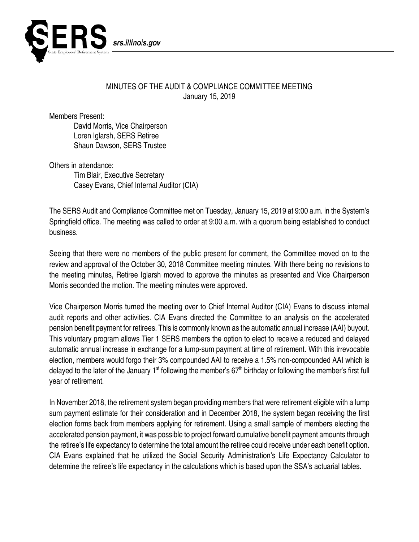

## MINUTES OF THE AUDIT & COMPLIANCE COMMITTEE MEETING January 15, 2019

Members Present:

David Morris, Vice Chairperson Loren Iglarsh, SERS Retiree Shaun Dawson, SERS Trustee

Others in attendance:

Tim Blair, Executive Secretary Casey Evans, Chief Internal Auditor (CIA)

The SERS Audit and Compliance Committee met on Tuesday, January 15, 2019 at 9:00 a.m. in the System's Springfield office. The meeting was called to order at 9:00 a.m. with a quorum being established to conduct business.

Seeing that there were no members of the public present for comment, the Committee moved on to the review and approval of the October 30, 2018 Committee meeting minutes. With there being no revisions to the meeting minutes, Retiree Iglarsh moved to approve the minutes as presented and Vice Chairperson Morris seconded the motion. The meeting minutes were approved.

Vice Chairperson Morris turned the meeting over to Chief Internal Auditor (CIA) Evans to discuss internal audit reports and other activities. CIA Evans directed the Committee to an analysis on the accelerated pension benefit payment for retirees. This is commonly known as the automatic annual increase (AAI) buyout. This voluntary program allows Tier 1 SERS members the option to elect to receive a reduced and delayed automatic annual increase in exchange for a lump-sum payment at time of retirement. With this irrevocable election, members would forgo their 3% compounded AAI to receive a 1.5% non-compounded AAI which is delayed to the later of the January 1<sup>st</sup> following the member's  $67<sup>th</sup>$  birthday or following the member's first full year of retirement.

In November 2018, the retirement system began providing members that were retirement eligible with a lump sum payment estimate for their consideration and in December 2018, the system began receiving the first election forms back from members applying for retirement. Using a small sample of members electing the accelerated pension payment, it was possible to project forward cumulative benefit payment amounts through the retiree's life expectancy to determine the total amount the retiree could receive under each benefit option. CIA Evans explained that he utilized the Social Security Administration's Life Expectancy Calculator to determine the retiree's life expectancy in the calculations which is based upon the SSA's actuarial tables.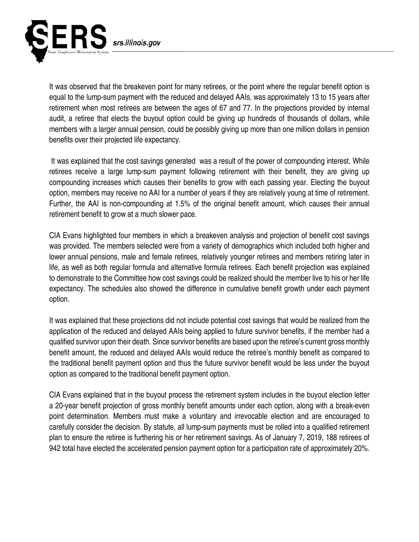

It was observed that the breakeven point for many retirees, or the point where the regular benefit option is equal to the lump-sum payment with the reduced and delayed AAIs, was approximately 13 to 15 years after retirement when most retirees are between the ages of 67 and 77. In the projections provided by internal audit, a retiree that elects the buyout option could be giving up hundreds of thousands of dollars, while members with a larger annual pension, could be possibly giving up more than one million dollars in pension benefits over their projected life expectancy.

It was explained that the cost savings generated was a result of the power of compounding interest. While retirees receive a large lump-sum payment following retirement with their benefit, they are giving up compounding increases which causes their benefits to grow with each passing year. Electing the buyout option, members may receive no AAI for a number of years if they are relatively young at time of retirement. Further, the AAI is non-compounding at 1.5% of the original benefit amount, which causes their annual retirement benefit to grow at a much slower pace.

CIA Evans highlighted four members in which a breakeven analysis and projection of benefit cost savings was provided. The members selected were from a variety of demographics which included both higher and lower annual pensions, male and female retirees, relatively younger retirees and members retiring later in life, as well as both regular formula and alternative formula retirees. Each benefit projection was explained to demonstrate to the Committee how cost savings could be realized should the member live to his or her life expectancy. The schedules also showed the difference in cumulative benefit growth under each payment option.

It was explained that these projections did not include potential cost savings that would be realized from the application of the reduced and delayed AAIs being applied to future survivor benefits, if the member had a qualified survivor upon their death. Since survivor benefits are based upon the retiree's current gross monthly benefit amount, the reduced and delayed AAIs would reduce the retiree's monthly benefit as compared to the traditional benefit payment option and thus the future survivor benefit would be less under the buyout option as compared to the traditional benefit payment option.

CIA Evans explained that in the buyout process the retirement system includes in the buyout election letter a 20-year benefit projection of gross monthly benefit amounts under each option, along with a break-even point determination. Members must make a voluntary and irrevocable election and are encouraged to carefully consider the decision. By statute, all lump-sum payments must be rolled into a qualified retirement plan to ensure the retiree is furthering his or her retirement savings. As of January 7, 2019, 188 retirees of 942 total have elected the accelerated pension payment option for a participation rate of approximately 20%.